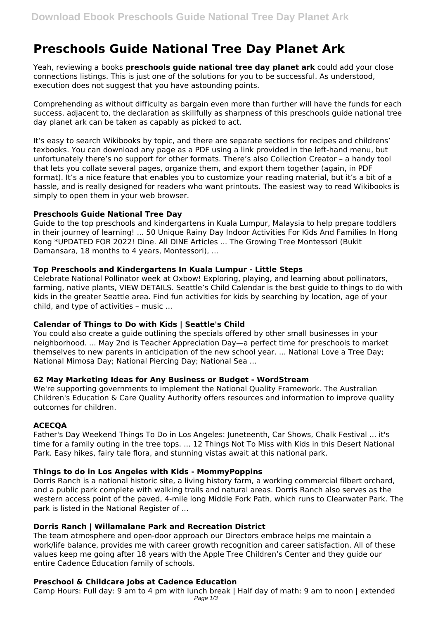# **Preschools Guide National Tree Day Planet Ark**

Yeah, reviewing a books **preschools guide national tree day planet ark** could add your close connections listings. This is just one of the solutions for you to be successful. As understood, execution does not suggest that you have astounding points.

Comprehending as without difficulty as bargain even more than further will have the funds for each success. adjacent to, the declaration as skillfully as sharpness of this preschools guide national tree day planet ark can be taken as capably as picked to act.

It's easy to search Wikibooks by topic, and there are separate sections for recipes and childrens' texbooks. You can download any page as a PDF using a link provided in the left-hand menu, but unfortunately there's no support for other formats. There's also Collection Creator – a handy tool that lets you collate several pages, organize them, and export them together (again, in PDF format). It's a nice feature that enables you to customize your reading material, but it's a bit of a hassle, and is really designed for readers who want printouts. The easiest way to read Wikibooks is simply to open them in your web browser.

## **Preschools Guide National Tree Day**

Guide to the top preschools and kindergartens in Kuala Lumpur, Malaysia to help prepare toddlers in their journey of learning! ... 50 Unique Rainy Day Indoor Activities For Kids And Families In Hong Kong \*UPDATED FOR 2022! Dine. All DINE Articles ... The Growing Tree Montessori (Bukit Damansara, 18 months to 4 years, Montessori), ...

## **Top Preschools and Kindergartens In Kuala Lumpur - Little Steps**

Celebrate National Pollinator week at Oxbow! Exploring, playing, and learning about pollinators, farming, native plants, VIEW DETAILS. Seattle's Child Calendar is the best guide to things to do with kids in the greater Seattle area. Find fun activities for kids by searching by location, age of your child, and type of activities – music ...

# **Calendar of Things to Do with Kids | Seattle's Child**

You could also create a guide outlining the specials offered by other small businesses in your neighborhood. ... May 2nd is Teacher Appreciation Day—a perfect time for preschools to market themselves to new parents in anticipation of the new school year. ... National Love a Tree Day; National Mimosa Day; National Piercing Day; National Sea ...

#### **62 May Marketing Ideas for Any Business or Budget - WordStream**

We're supporting governments to implement the National Quality Framework. The Australian Children's Education & Care Quality Authority offers resources and information to improve quality outcomes for children.

#### **ACECQA**

Father's Day Weekend Things To Do in Los Angeles: Juneteenth, Car Shows, Chalk Festival ... it's time for a family outing in the tree tops. ... 12 Things Not To Miss with Kids in this Desert National Park. Easy hikes, fairy tale flora, and stunning vistas await at this national park.

#### **Things to do in Los Angeles with Kids - MommyPoppins**

Dorris Ranch is a national historic site, a living history farm, a working commercial filbert orchard, and a public park complete with walking trails and natural areas. Dorris Ranch also serves as the western access point of the paved, 4-mile long Middle Fork Path, which runs to Clearwater Park. The park is listed in the National Register of ...

# **Dorris Ranch | Willamalane Park and Recreation District**

The team atmosphere and open-door approach our Directors embrace helps me maintain a work/life balance, provides me with career growth recognition and career satisfaction. All of these values keep me going after 18 years with the Apple Tree Children's Center and they guide our entire Cadence Education family of schools.

# **Preschool & Childcare Jobs at Cadence Education**

Camp Hours: Full day: 9 am to 4 pm with lunch break | Half day of math: 9 am to noon | extended Page 1/3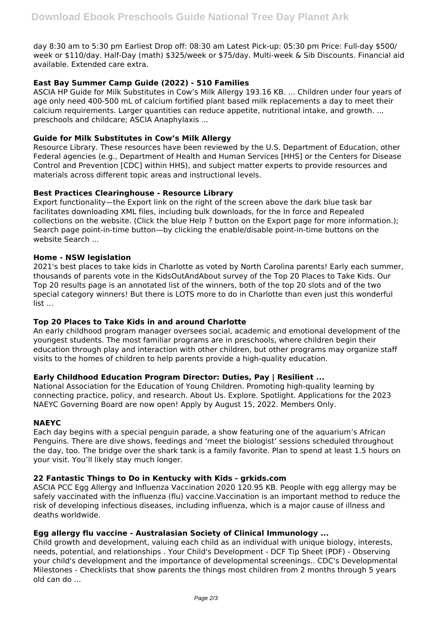day 8:30 am to 5:30 pm Earliest Drop off: 08:30 am Latest Pick-up: 05:30 pm Price: Full-day \$500/ week or \$110/day. Half-Day (math) \$325/week or \$75/day. Multi-week & Sib Discounts. Financial aid available. Extended care extra.

# **East Bay Summer Camp Guide (2022) - 510 Families**

ASCIA HP Guide for Milk Substitutes in Cow's Milk Allergy 193.16 KB. ... Children under four years of age only need 400-500 mL of calcium fortified plant based milk replacements a day to meet their calcium requirements. Larger quantities can reduce appetite, nutritional intake, and growth. ... preschools and childcare; ASCIA Anaphylaxis ...

# **Guide for Milk Substitutes in Cow's Milk Allergy**

Resource Library. These resources have been reviewed by the U.S. Department of Education, other Federal agencies (e.g., Department of Health and Human Services [HHS] or the Centers for Disease Control and Prevention [CDC] within HHS), and subject matter experts to provide resources and materials across different topic areas and instructional levels.

## **Best Practices Clearinghouse - Resource Library**

Export functionality—the Export link on the right of the screen above the dark blue task bar facilitates downloading XML files, including bulk downloads, for the In force and Repealed collections on the website. (Click the blue Help ? button on the Export page for more information.); Search page point-in-time button—by clicking the enable/disable point-in-time buttons on the website Search ...

## **Home - NSW legislation**

2021's best places to take kids in Charlotte as voted by North Carolina parents! Early each summer, thousands of parents vote in the KidsOutAndAbout survey of the Top 20 Places to Take Kids. Our Top 20 results page is an annotated list of the winners, both of the top 20 slots and of the two special category winners! But there is LOTS more to do in Charlotte than even just this wonderful list ...

#### **Top 20 Places to Take Kids in and around Charlotte**

An early childhood program manager oversees social, academic and emotional development of the youngest students. The most familiar programs are in preschools, where children begin their education through play and interaction with other children, but other programs may organize staff visits to the homes of children to help parents provide a high-quality education.

#### **Early Childhood Education Program Director: Duties, Pay | Resilient ...**

National Association for the Education of Young Children. Promoting high-quality learning by connecting practice, policy, and research. About Us. Explore. Spotlight. Applications for the 2023 NAEYC Governing Board are now open! Apply by August 15, 2022. Members Only.

#### **NAEYC**

Each day begins with a special penguin parade, a show featuring one of the aquarium's African Penguins. There are dive shows, feedings and 'meet the biologist' sessions scheduled throughout the day, too. The bridge over the shark tank is a family favorite. Plan to spend at least 1.5 hours on your visit. You'll likely stay much longer.

# **22 Fantastic Things to Do in Kentucky with Kids - grkids.com**

ASCIA PCC Egg Allergy and Influenza Vaccination 2020 120.95 KB. People with egg allergy may be safely vaccinated with the influenza (flu) vaccine.Vaccination is an important method to reduce the risk of developing infectious diseases, including influenza, which is a major cause of illness and deaths worldwide.

# **Egg allergy flu vaccine - Australasian Society of Clinical Immunology ...**

Child growth and development, valuing each child as an individual with unique biology, interests, needs, potential, and relationships . Your Child's Development - DCF Tip Sheet (PDF) - Observing your child's development and the importance of developmental screenings.. CDC's Developmental Milestones - Checklists that show parents the things most children from 2 months through 5 years old can do ...